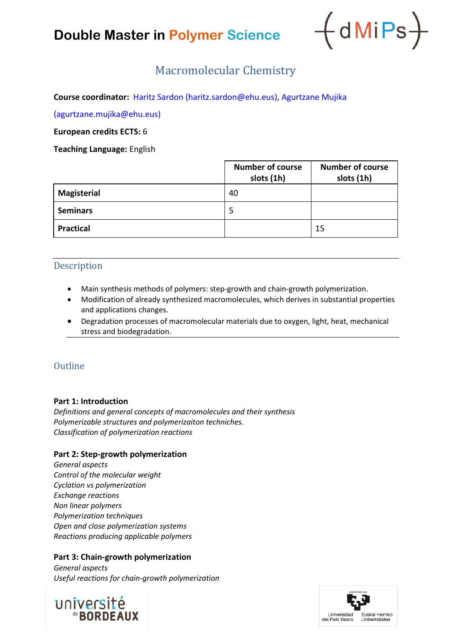# **Double Master in Polymer Science**



# Macromolecular Chemistry

**Course coordinator:** Haritz Sardon (haritz.sardon@ehu.eus), Agurtzane Mujika

(agurtzane.mujika@ehu.eus)

**European credits ECTS:** 6

**Teaching Language:** English

|                    | <b>Number of course</b><br>slots (1h) | <b>Number of course</b><br>slots (1h) |
|--------------------|---------------------------------------|---------------------------------------|
| <b>Magisterial</b> | 40                                    |                                       |
| <b>Seminars</b>    | 5                                     |                                       |
| <b>Practical</b>   |                                       | 15                                    |

# Description

- Main synthesis methods of polymers: step-growth and chain-growth polymerization.
- Modification of already synthesized macromolecules, which derives in substantial properties and applications changes.
- Degradation processes of macromolecular materials due to oxygen, light, heat, mechanical stress and biodegradation.

# **Outline**

#### **Part 1: Introduction**

*Definitions and general concepts of macromolecules and their synthesis Polymerizable structures and polymerizaiton techniches. Classification of polymerization reactions* 

#### **Part 2: Step-growth polymerization**

*General aspects Control of the molecular weight Cyclation vs polymerization Exchange reactions Non linear polymers Polymerization techniques Open and close polymerization systems Reactions producing applicable polymers*

#### **Part 3: Chain-growth polymerization**

*General aspects Useful reactions for chain-growth polymerization*